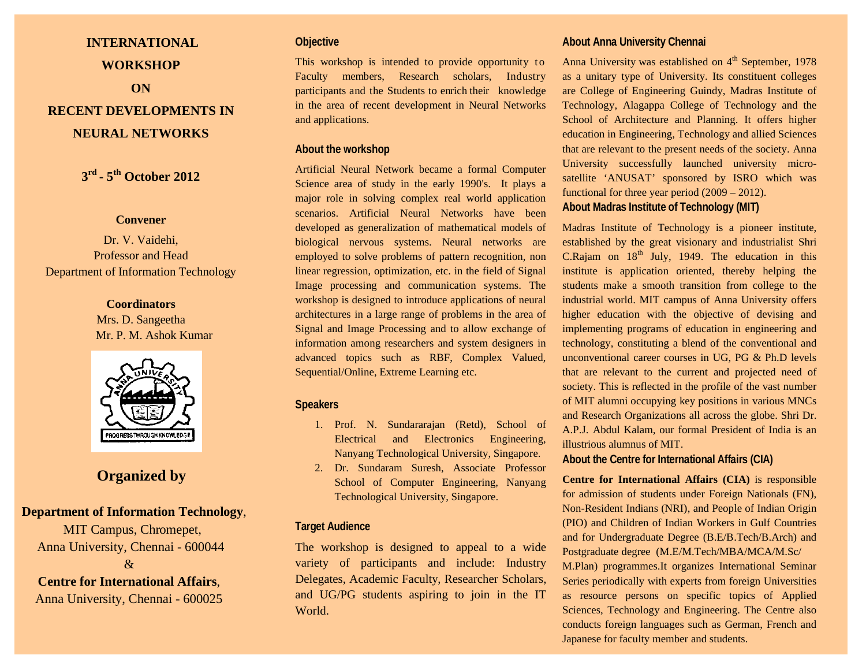# **INTERNATIONAL WORKSHOP ON**

## **RECENT DEVELOPMENTS IN NEURAL NETWORKS**

**3rd - 5th October 2012**

#### **Convener**

Dr. V. Vaidehi, Professor and Head Department of Information Technology

#### **Coordinators**

Mrs. D. Sangeetha Mr. P. M. Ashok Kumar



## **Organized by**

## **Department of Information Technology**,

 MIT Campus, Chromepet, Anna University, Chennai - 600044  $\mathcal{R}$ 

#### **Centre for International Affairs**,

Anna University, Chennai - 600025

## **Objective**

This workshop is intended to provide opportunity to Faculty members, Research scholars, Industry participants and the Students to enrich their knowledge in the area of recent development in Neural Networks and applications.

#### **About the workshop**

Artificial Neural Network became a formal Computer Science area of study in the early 1990's. It plays a major role in solving complex real world application scenarios. Artificial Neural Networks have been developed as generalization of mathematical models of biological nervous systems. Neural networks are employed to solve problems of pattern recognition, non linear regression, optimization, etc. in the field of Signal Image processing and communication systems. The workshop is designed to introduce applications of neural architectures in a large range of problems in the area of Signal and Image Processing and to allow exchange of information among researchers and system designers in advanced topics such as RBF, Complex Valued, Sequential/Online, Extreme Learning etc.

#### **Speakers**

- 1. Prof. N. Sundararajan (Retd), School of Electrical and Electronics Engineering, Nanyang Technological University, Singapore.
- 2. Dr. Sundaram Suresh, Associate Professor School of Computer Engineering, Nanyang Technological University, Singapore.

#### **Target Audience**

The workshop is designed to appeal to a wide variety of participants and include: Industry Delegates, Academic Faculty, Researcher Scholars, and UG/PG students aspiring to join in the IT World.

## **About Anna University Chennai**

Anna University was established on  $4<sup>th</sup>$  September, 1978 as a unitary type of University. Its constituent colleges are College of Engineering Guindy, Madras Institute of Technology, Alagappa College of Technology and the School of Architecture and Planning. It offers higher education in Engineering, Technology and allied Sciences that are relevant to the present needs of the society. Anna University successfully launched university microsatellite 'ANUSAT' sponsored by ISRO which was functional for three year period (2009 – 2012). **About Madras Institute of Technology (MIT)**

Madras Institute of Technology is a pioneer institute, established by the great visionary and industrialist Shri C.Rajam on  $18<sup>th</sup>$  July, 1949. The education in this institute is application oriented, thereby helping the students make a smooth transition from college to the industrial world. MIT campus of Anna University offers higher education with the objective of devising and implementing programs of education in engineering and technology, constituting a blend of the conventional and unconventional career courses in UG, PG & Ph.D levels that are relevant to the current and projected need of society. This is reflected in the profile of the vast number of MIT alumni occupying key positions in various MNCs and Research Organizations all across the globe. Shri Dr. A.P.J. Abdul Kalam, our formal President of India is an illustrious alumnus of MIT.

**About the Centre for International Affairs (CIA)**

**Centre for International Affairs (CIA)** is responsible for admission of students under Foreign Nationals (FN), Non-Resident Indians (NRI), and People of Indian Origin (PIO) and Children of Indian Workers in Gulf Countries and for Undergraduate Degree (B.E/B.Tech/B.Arch) and Postgraduate degree (M.E/M.Tech/MBA/MCA/M.Sc/ M.Plan) programmes.It organizes International Seminar Series periodically with experts from foreign Universities as resource persons on specific topics of Applied Sciences, Technology and Engineering. The Centre also conducts foreign languages such as German, French and Japanese for faculty member and students.